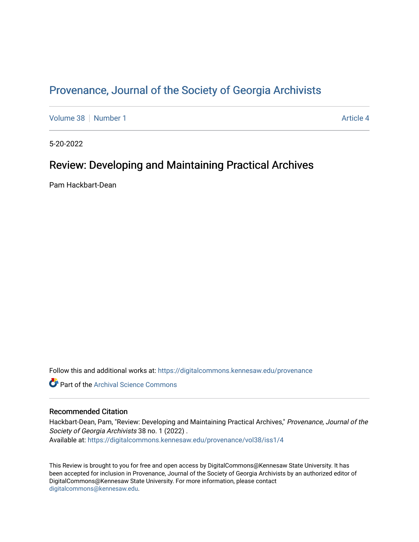## Provenance, Journal of the Society of Georgia Archivists

[Volume 38](https://digitalcommons.kennesaw.edu/provenance/vol38) [Number 1](https://digitalcommons.kennesaw.edu/provenance/vol38/iss1) [Article 4](https://digitalcommons.kennesaw.edu/provenance/vol38/iss1/4) Article 4

5-20-2022

## Review: Developing and Maintaining Practical Archives

Pam Hackbart-Dean

Follow this and additional works at: [https://digitalcommons.kennesaw.edu/provenance](https://digitalcommons.kennesaw.edu/provenance?utm_source=digitalcommons.kennesaw.edu%2Fprovenance%2Fvol38%2Fiss1%2F4&utm_medium=PDF&utm_campaign=PDFCoverPages) 

**Part of the Archival Science Commons** 

## Recommended Citation

Hackbart-Dean, Pam, "Review: Developing and Maintaining Practical Archives," Provenance, Journal of the Society of Georgia Archivists 38 no. 1 (2022). Available at: [https://digitalcommons.kennesaw.edu/provenance/vol38/iss1/4](https://digitalcommons.kennesaw.edu/provenance/vol38/iss1/4?utm_source=digitalcommons.kennesaw.edu%2Fprovenance%2Fvol38%2Fiss1%2F4&utm_medium=PDF&utm_campaign=PDFCoverPages) 

This Review is brought to you for free and open access by DigitalCommons@Kennesaw State University. It has been accepted for inclusion in Provenance, Journal of the Society of Georgia Archivists by an authorized editor of DigitalCommons@Kennesaw State University. For more information, please contact [digitalcommons@kennesaw.edu.](mailto:digitalcommons@kennesaw.edu)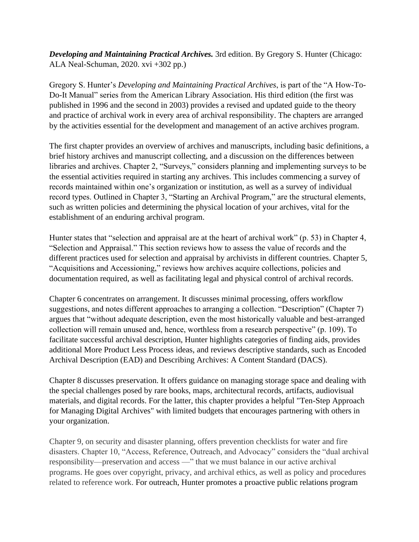*Developing and Maintaining Practical Archives.* 3rd edition. By Gregory S. Hunter (Chicago: ALA Neal-Schuman, 2020. xvi +302 pp.)

Gregory S. Hunter's *Developing and Maintaining Practical Archives*, is part of the "A How-To-Do-It Manual" series from the American Library Association. His third edition (the first was published in 1996 and the second in 2003) provides a revised and updated guide to the theory and practice of archival work in every area of archival responsibility. The chapters are arranged by the activities essential for the development and management of an active archives program.

The first chapter provides an overview of archives and manuscripts, including basic definitions, a brief history archives and manuscript collecting, and a discussion on the differences between libraries and archives. Chapter 2, "Surveys," considers planning and implementing surveys to be the essential activities required in starting any archives. This includes commencing a survey of records maintained within one's organization or institution, as well as a survey of individual record types. Outlined in Chapter 3, "Starting an Archival Program," are the structural elements, such as written policies and determining the physical location of your archives, vital for the establishment of an enduring archival program.

Hunter states that "selection and appraisal are at the heart of archival work" (p. 53) in Chapter 4, "Selection and Appraisal." This section reviews how to assess the value of records and the different practices used for selection and appraisal by archivists in different countries. Chapter 5, "Acquisitions and Accessioning," reviews how archives acquire collections, policies and documentation required, as well as facilitating legal and physical control of archival records.

Chapter 6 concentrates on arrangement. It discusses minimal processing, offers workflow suggestions, and notes different approaches to arranging a collection. "Description" (Chapter 7) argues that "without adequate description, even the most historically valuable and best-arranged collection will remain unused and, hence, worthless from a research perspective" (p. 109). To facilitate successful archival description, Hunter highlights categories of finding aids, provides additional More Product Less Process ideas, and reviews descriptive standards, such as Encoded Archival Description (EAD) and Describing Archives: A Content Standard (DACS).

Chapter 8 discusses preservation. It offers guidance on managing storage space and dealing with the special challenges posed by rare books, maps, architectural records, artifacts, audiovisual materials, and digital records. For the latter, this chapter provides a helpful "Ten-Step Approach for Managing Digital Archives" with limited budgets that encourages partnering with others in your organization.

Chapter 9, on security and disaster planning, offers prevention checklists for water and fire disasters. Chapter 10, "Access, Reference, Outreach, and Advocacy" considers the "dual archival responsibility—preservation and access —" that we must balance in our active archival programs. He goes over copyright, privacy, and archival ethics, as well as policy and procedures related to reference work. For outreach, Hunter promotes a proactive public relations program